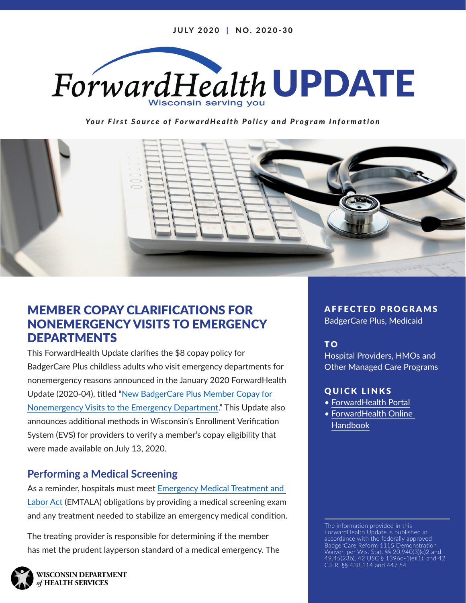

*Your First Source of ForwardHealth Policy and Program Information*



## MEMBER COPAY CLARIFICATIONS FOR NONEMERGENCY VISITS TO EMERGENCY DEPARTMENTS

This ForwardHealth Update clarifies the \$8 copay policy for BadgerCare Plus childless adults who visit emergency departments for nonemergency reasons announced in the January 2020 ForwardHealth Update (2020-04), titled "[New BadgerCare Plus Member Copay for](https://www.forwardhealth.wi.gov/kw/pdf/2020-04.pdf)  [Nonemergency Visits to the Emergency Department](https://www.forwardhealth.wi.gov/kw/pdf/2020-04.pdf)." This Update also announces additional methods in Wisconsin's Enrollment Verification System (EVS) for providers to verify a member's copay eligibility that were made available on July 13, 2020.

### **Performing a Medical Screening**

As a reminder, hospitals must meet [Emergency Medical Treatment and](https://www.ssa.gov/OP_Home/ssact/title18/1867.htm)  [Labor Act](https://www.ssa.gov/OP_Home/ssact/title18/1867.htm) (EMTALA) obligations by providing a medical screening exam and any treatment needed to stabilize an emergency medical condition.

The treating provider is responsible for determining if the member has met the prudent layperson standard of a medical emergency. The AFFECTED PROGRAMS

BadgerCare Plus, Medicaid

#### T O

Hospital Providers, HMOs and Other Managed Care Programs

#### QUICK LINKS

- [ForwardHealth Portal](https://www.forwardhealth.wi.gov/WIPortal/)
- [ForwardHealth Online](https://www.forwardhealth.wi.gov/WIPortal/Subsystem/KW/Display.aspx)  [Handbook](https://www.forwardhealth.wi.gov/WIPortal/Subsystem/KW/Display.aspx)

The information provided in this ForwardHealth Update is published in accordance with the federally approved BadgerCare Reform 1115 Demonstration Waiver, per Wis. Stat. §§ 20.940(3)(c)2 and 49.45(23b), 42 USC § 1396o-1(e)(1), and 42 C.F.R. §§ 438.114 and 447.54.

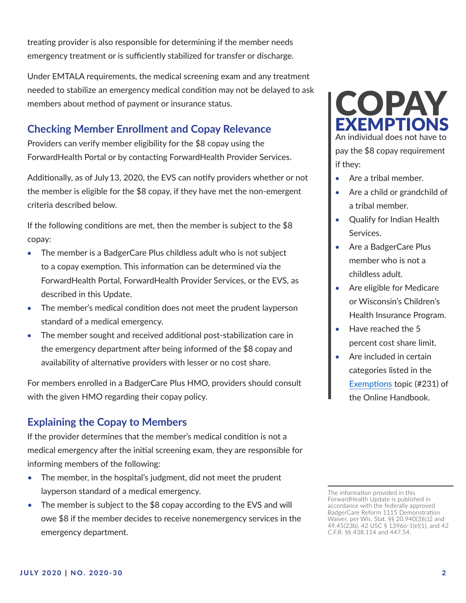treating provider is also responsible for determining if the member needs emergency treatment or is sufficiently stabilized for transfer or discharge.

Under EMTALA requirements, the medical screening exam and any treatment needed to stabilize an emergency medical condition may not be delayed to ask members about method of payment or insurance status.

# **Checking Member Enrollment and Copay Relevance**

Providers can verify member eligibility for the \$8 copay using the ForwardHealth Portal or by contacting ForwardHealth Provider Services.

Additionally, as of July13, 2020, the EVS can notify providers whether or not the member is eligible for the \$8 copay, if they have met the non-emergent criteria described below.

If the following conditions are met, then the member is subject to the \$8 copay:

- The member is a BadgerCare Plus childless adult who is not subject to a copay exemption. This information can be determined via the ForwardHealth Portal, ForwardHealth Provider Services, or the EVS, as described in this Update.
- The member's medical condition does not meet the prudent layperson standard of a medical emergency.
- The member sought and received additional post-stabilization care in the emergency department after being informed of the \$8 copay and availability of alternative providers with lesser or no cost share.

For members enrolled in a BadgerCare Plus HMO, providers should consult with the given HMO regarding their copay policy.

# **Explaining the Copay to Members**

If the provider determines that the member's medical condition is not a medical emergency after the initial screening exam, they are responsible for informing members of the following:

- The member, in the hospital's judgment, did not meet the prudent layperson standard of a medical emergency.
- The member is subject to the \$8 copay according to the EVS and will owe \$8 if the member decides to receive nonemergency services in the emergency department.



pay the \$8 copay requirement if they:

- Are a tribal member.
- Are a child or grandchild of a tribal member.
- **Oualify for Indian Health** Services.
- Are a BadgerCare Plus member who is not a childless adult.
- Are eligible for Medicare or Wisconsin's Children's Health Insurance Program.
- Have reached the 5 percent cost share limit.
- Are included in certain categories listed in the [Exemptions](https://www.forwardhealth.wi.gov/WIPortal/Subsystem/KW/Display.aspx?ia=1&p=1&sa=43&s=5&c=32&nt=Exemptions&adv=Y) topic (#231) of the Online Handbook.

The information provided in this ForwardHealth Update is published in accordance with the federally approved BadgerCare Reform 1115 Demonstration Waiver, per Wis. Stat. §§ 20.940(3)(c)2 and 49.45(23b), 42 USC § 1396o-1(e)(1), and 42 C.F.R. §§ 438.114 and 447.54.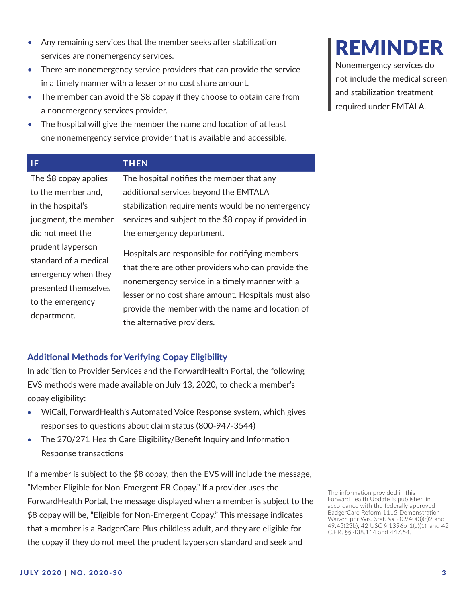services are nonemergency services.

The member can avoid the \$8 copay if they choose to obtain care from a nonemergency services provider.

• Any remaining services that the member seeks after stabilization

• The hospital will give the member the name and location of at least one nonemergency service provider that is available and accessible.

| IF.                                                                                                                          | <b>THEN</b>                                                                                                                                                                                                                                                                                      |
|------------------------------------------------------------------------------------------------------------------------------|--------------------------------------------------------------------------------------------------------------------------------------------------------------------------------------------------------------------------------------------------------------------------------------------------|
| The \$8 copay applies                                                                                                        | The hospital notifies the member that any                                                                                                                                                                                                                                                        |
| to the member and,                                                                                                           | additional services beyond the EMTALA                                                                                                                                                                                                                                                            |
| in the hospital's                                                                                                            | stabilization requirements would be nonemergency                                                                                                                                                                                                                                                 |
| judgment, the member                                                                                                         | services and subject to the \$8 copay if provided in                                                                                                                                                                                                                                             |
| did not meet the                                                                                                             | the emergency department.                                                                                                                                                                                                                                                                        |
| prudent layperson<br>standard of a medical<br>emergency when they<br>presented themselves<br>to the emergency<br>department. | Hospitals are responsible for notifying members<br>that there are other providers who can provide the<br>nonemergency service in a timely manner with a<br>lesser or no cost share amount. Hospitals must also<br>provide the member with the name and location of<br>the alternative providers. |

#### **Additional Methods for Verifying Copay Eligibility**

In addition to Provider Services and the ForwardHealth Portal, the following EVS methods were made available on July 13, 2020, to check a member's copay eligibility:

- WiCall, ForwardHealth's Automated Voice Response system, which gives responses to questions about claim status (800-947-3544)
- The 270/271 Health Care Eligibility/Benefit Inquiry and Information Response transactions

If a member is subject to the \$8 copay, then the EVS will include the message, "Member Eligible for Non-Emergent ER Copay." If a provider uses the ForwardHealth Portal, the message displayed when a member is subject to the \$8 copay will be, "Eligible for Non-Emergent Copay." This message indicates that a member is a BadgerCare Plus childless adult, and they are eligible for the copay if they do not meet the prudent layperson standard and seek and

# REMINDER

Nonemergency services do not include the medical screen and stabilization treatment required under EMTALA.

The information provided in this ForwardHealth Update is published in accordance with the federally approved BadgerCare Reform 1115 Demonstration Waiver, per Wis. Stat. §§ 20.940(3)(c)2 and 49.45(23b), 42 USC § 1396o-1(e)(1), and 42 C.F.R. §§ 438.114 and 447.54.